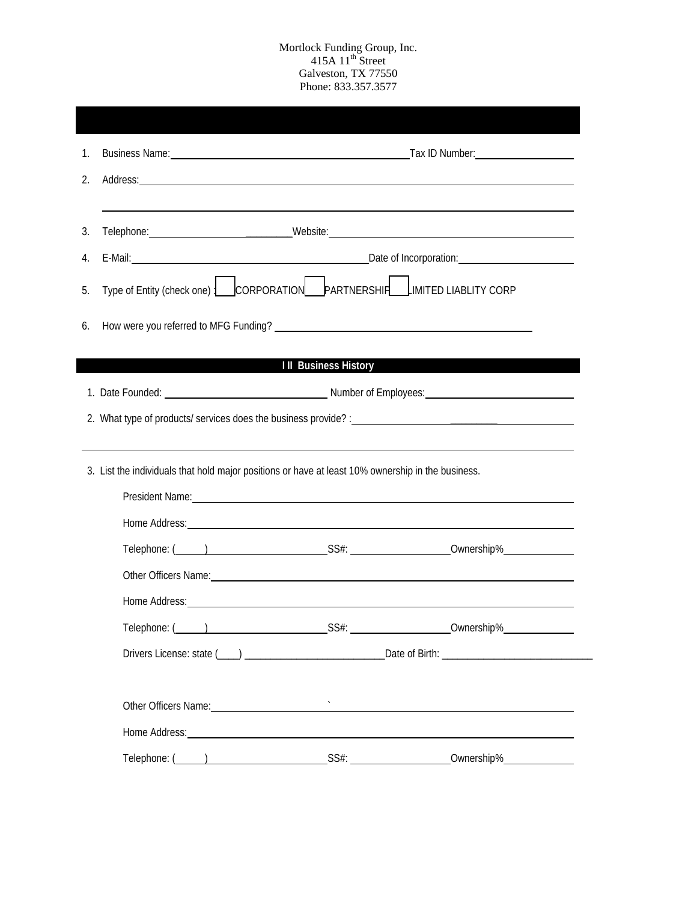## Mortlock Funding Group, Inc.  $415A 11<sup>th</sup>$  Street Galveston, TX 77550 Phone: 833.357.3577

| 2. | Address: <u>Address:</u> Address: Address: Address: Address: Address: Address: Address: Address: Address: Address: Address: Address: Address: Address: Address: Address: Address: Address: Address: Address: Address: Address: Addr |  |                                                                                                                                                                                                                                     |  |  |  |
|----|-------------------------------------------------------------------------------------------------------------------------------------------------------------------------------------------------------------------------------------|--|-------------------------------------------------------------------------------------------------------------------------------------------------------------------------------------------------------------------------------------|--|--|--|
|    |                                                                                                                                                                                                                                     |  |                                                                                                                                                                                                                                     |  |  |  |
| 3. |                                                                                                                                                                                                                                     |  |                                                                                                                                                                                                                                     |  |  |  |
| 4. |                                                                                                                                                                                                                                     |  |                                                                                                                                                                                                                                     |  |  |  |
| 5. | Type of Entity (check one)   CORPORATION PARTNERSHIP CORP                                                                                                                                                                           |  |                                                                                                                                                                                                                                     |  |  |  |
| 6. |                                                                                                                                                                                                                                     |  |                                                                                                                                                                                                                                     |  |  |  |
|    |                                                                                                                                                                                                                                     |  |                                                                                                                                                                                                                                     |  |  |  |
|    | <b>Example 2018</b> III Business History                                                                                                                                                                                            |  |                                                                                                                                                                                                                                     |  |  |  |
|    |                                                                                                                                                                                                                                     |  |                                                                                                                                                                                                                                     |  |  |  |
|    |                                                                                                                                                                                                                                     |  |                                                                                                                                                                                                                                     |  |  |  |
|    |                                                                                                                                                                                                                                     |  |                                                                                                                                                                                                                                     |  |  |  |
|    |                                                                                                                                                                                                                                     |  |                                                                                                                                                                                                                                     |  |  |  |
|    | 3. List the individuals that hold major positions or have at least 10% ownership in the business.                                                                                                                                   |  |                                                                                                                                                                                                                                     |  |  |  |
|    | President Name: 2008. Contract of the Contract of the Contract of the Contract of the Contract of the Contract of the Contract of the Contract of the Contract of the Contract of the Contract of the Contract of the Contract      |  |                                                                                                                                                                                                                                     |  |  |  |
|    |                                                                                                                                                                                                                                     |  |                                                                                                                                                                                                                                     |  |  |  |
|    |                                                                                                                                                                                                                                     |  |                                                                                                                                                                                                                                     |  |  |  |
|    |                                                                                                                                                                                                                                     |  | Other Officers Name: 2008 Contract Contract Contract Contract Contract Contract Contract Contract Contract Contract Contract Contract Contract Contract Contract Contract Contract Contract Contract Contract Contract Contrac      |  |  |  |
|    |                                                                                                                                                                                                                                     |  | Home Address: <u>Communications</u> Control and Communications of the Communications of the Communications of the Communications of the Communications of the Communications of the Communications of the Communications of the Com |  |  |  |
|    |                                                                                                                                                                                                                                     |  |                                                                                                                                                                                                                                     |  |  |  |
|    |                                                                                                                                                                                                                                     |  |                                                                                                                                                                                                                                     |  |  |  |
|    | Other Officers Name: <u>contract and a series of the series of the series of the series of the series of the series of</u>                                                                                                          |  |                                                                                                                                                                                                                                     |  |  |  |
|    |                                                                                                                                                                                                                                     |  |                                                                                                                                                                                                                                     |  |  |  |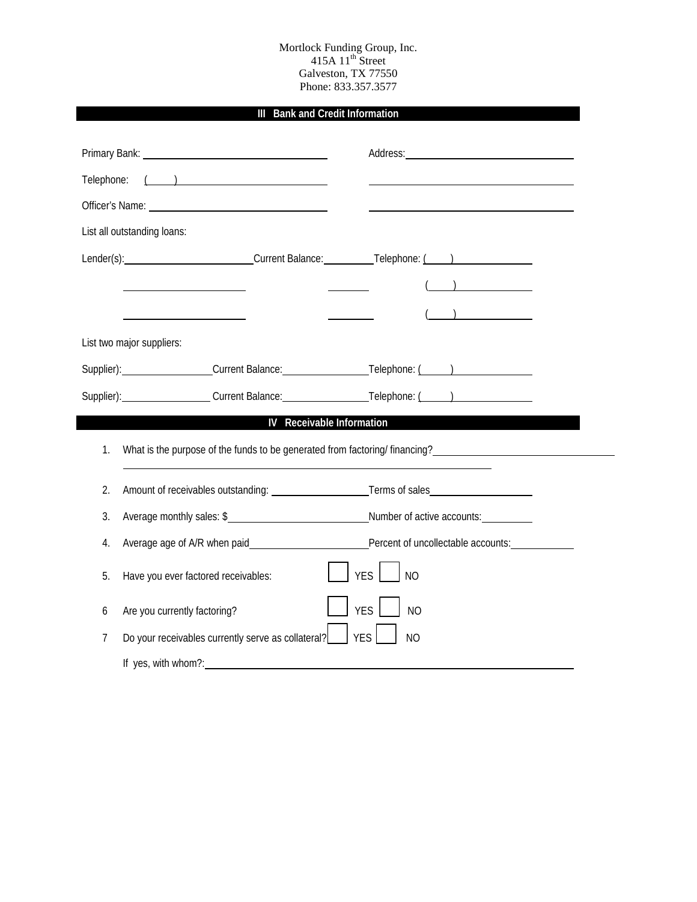### Mortlock Funding Group, Inc.  $415A 11<sup>th</sup>$  Street Galveston, TX 77550 Phone: 833.357.3577

# **III Bank and Credit Information**

| Telephone: |                                                                                                                                                                                                                                |                              |  |  |  |
|------------|--------------------------------------------------------------------------------------------------------------------------------------------------------------------------------------------------------------------------------|------------------------------|--|--|--|
|            | Officer's Name: Name: Name and Allen Contract of Contract Contract Contract Contract Contract Contract Contract Contract Contract Contract Contract Contract Contract Contract Contract Contract Contract Contract Contract Co |                              |  |  |  |
|            | List all outstanding loans:                                                                                                                                                                                                    |                              |  |  |  |
|            | Lender(s): Current Balance: Telephone: (but metallically contact the Current Balance: Telephone: (but metallic                                                                                                                 |                              |  |  |  |
|            |                                                                                                                                                                                                                                |                              |  |  |  |
|            | <u> 1980 - Johann Barbara, martin a</u>                                                                                                                                                                                        | $\overline{a}$               |  |  |  |
|            | List two major suppliers:                                                                                                                                                                                                      |                              |  |  |  |
|            | Supplier): Current Balance: Telephone: ()                                                                                                                                                                                      |                              |  |  |  |
|            | Supplier): Current Balance: Telephone: ()                                                                                                                                                                                      |                              |  |  |  |
|            | IV Receivable Information                                                                                                                                                                                                      |                              |  |  |  |
| 1.         | What is the purpose of the funds to be generated from factoring/ financing?                                                                                                                                                    |                              |  |  |  |
| 2.         |                                                                                                                                                                                                                                |                              |  |  |  |
| 3.         | Average monthly sales: \$                                                                                                                                                                                                      |                              |  |  |  |
| 4.         |                                                                                                                                                                                                                                |                              |  |  |  |
| 5.         | Have you ever factored receivables:                                                                                                                                                                                            | YES  <br>N <sub>O</sub>      |  |  |  |
| 6          | Are you currently factoring?                                                                                                                                                                                                   | <b>YES</b><br>N <sub>O</sub> |  |  |  |
| 7          | Do your receivables currently serve as collateral?                                                                                                                                                                             | <b>YES</b><br><b>NO</b>      |  |  |  |
|            | If yes, with whom?:                                                                                                                                                                                                            |                              |  |  |  |